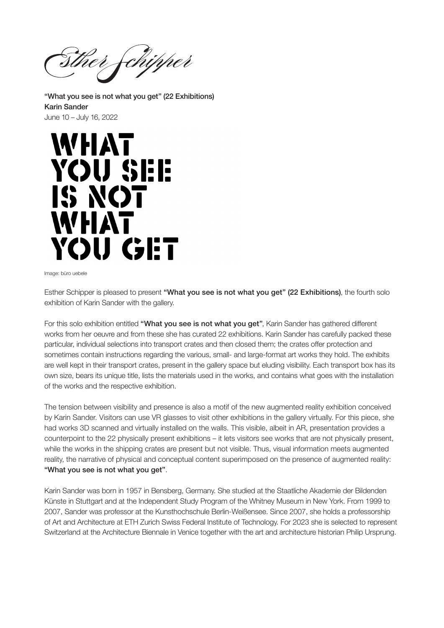Sther fchipper

"What you see is not what you get" (22 Exhibitions) Karin Sander June 10 – July 16, 2022



Image: büro uebele

Esther Schipper is pleased to present "What you see is not what you get" (22 Exhibitions), the fourth solo exhibition of Karin Sander with the gallery.

For this solo exhibition entitled "What you see is not what you get". Karin Sander has gathered different works from her oeuvre and from these she has curated 22 exhibitions. Karin Sander has carefully packed these particular, individual selections into transport crates and then closed them; the crates offer protection and sometimes contain instructions regarding the various, small- and large-format art works they hold. The exhibits are well kept in their transport crates, present in the gallery space but eluding visibility. Each transport box has its own size, bears its unique title, lists the materials used in the works, and contains what goes with the installation of the works and the respective exhibition.

The tension between visibility and presence is also a motif of the new augmented reality exhibition conceived by Karin Sander. Visitors can use VR glasses to visit other exhibitions in the gallery virtually. For this piece, she had works 3D scanned and virtually installed on the walls. This visible, albeit in AR, presentation provides a counterpoint to the 22 physically present exhibitions – it lets visitors see works that are not physically present, while the works in the shipping crates are present but not visible. Thus, visual information meets augmented reality, the narrative of physical and conceptual content superimposed on the presence of augmented reality: "What you see is not what you get".

Karin Sander was born in 1957 in Bensberg, Germany. She studied at the Staatliche Akademie der Bildenden Künste in Stuttgart and at the Independent Study Program of the Whitney Museum in New York. From 1999 to 2007, Sander was professor at the Kunsthochschule Berlin-Weißensee. Since 2007, she holds a professorship of Art and Architecture at ETH Zurich Swiss Federal Institute of Technology. For 2023 she is selected to represent Switzerland at the Architecture Biennale in Venice together with the art and architecture historian Philip Ursprung.